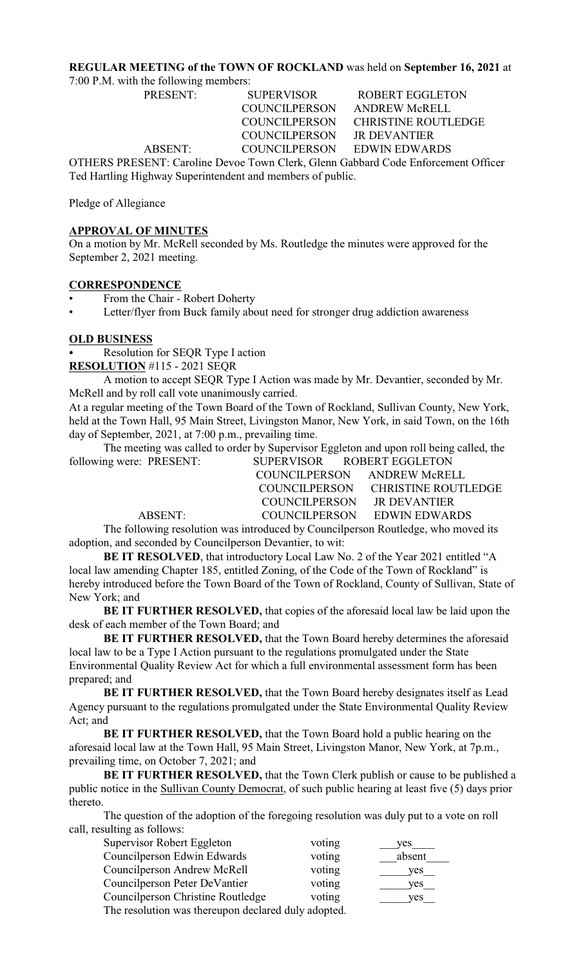#### **REGULAR MEETING of the TOWN OF ROCKLAND** was held on **September 16, 2021** at

7:00 P.M. with the following members:

PRESENT: SUPERVISOR ROBERT EGGLETON COUNCILPERSON JR DEVANTIER

 COUNCILPERSON ANDREW McRELL COUNCILPERSON CHRISTINE ROUTLEDGE ABSENT: COUNCILPERSON EDWIN EDWARDS

OTHERS PRESENT: Caroline Devoe Town Clerk, Glenn Gabbard Code Enforcement Officer Ted Hartling Highway Superintendent and members of public.

Pledge of Allegiance

#### **APPROVAL OF MINUTES**

On a motion by Mr. McRell seconded by Ms. Routledge the minutes were approved for the September 2, 2021 meeting.

#### **CORRESPONDENCE**

- From the Chair Robert Doherty
- Letter/flyer from Buck family about need for stronger drug addiction awareness

#### **OLD BUSINESS**

Resolution for SEQR Type I action

**RESOLUTION** #115 - 2021 SEQR

A motion to accept SEQR Type I Action was made by Mr. Devantier, seconded by Mr. McRell and by roll call vote unanimously carried.

At a regular meeting of the Town Board of the Town of Rockland, Sullivan County, New York, held at the Town Hall, 95 Main Street, Livingston Manor, New York, in said Town, on the 16th day of September, 2021, at 7:00 p.m., prevailing time.

The meeting was called to order by Supervisor Eggleton and upon roll being called, the new were: PRESENT: SUPERVISOR ROBERT EGGLETON following were: PRESENT:

| $\mu$ g weit. I KLDLITT. | <u>UULUN IUUN TINUDENI EUUEETUN</u> |                                   |
|--------------------------|-------------------------------------|-----------------------------------|
|                          | COUNCILPERSON ANDREW McRELL         |                                   |
|                          |                                     | COUNCILPERSON CHRISTINE ROUTLEDGE |
|                          | COUNCILPERSON JR DEVANTIER          |                                   |
| ABSENT:                  |                                     | COUNCILPERSON EDWIN EDWARDS       |
|                          |                                     |                                   |

The following resolution was introduced by Councilperson Routledge, who moved its adoption, and seconded by Councilperson Devantier, to wit:

**BE IT RESOLVED**, that introductory Local Law No. 2 of the Year 2021 entitled "A local law amending Chapter 185, entitled Zoning, of the Code of the Town of Rockland" is hereby introduced before the Town Board of the Town of Rockland, County of Sullivan, State of New York; and

**BE IT FURTHER RESOLVED,** that copies of the aforesaid local law be laid upon the desk of each member of the Town Board; and

**BE IT FURTHER RESOLVED,** that the Town Board hereby determines the aforesaid local law to be a Type I Action pursuant to the regulations promulgated under the State Environmental Quality Review Act for which a full environmental assessment form has been prepared; and

**BE IT FURTHER RESOLVED,** that the Town Board hereby designates itself as Lead Agency pursuant to the regulations promulgated under the State Environmental Quality Review Act; and

**BE IT FURTHER RESOLVED,** that the Town Board hold a public hearing on the aforesaid local law at the Town Hall, 95 Main Street, Livingston Manor, New York, at 7p.m., prevailing time, on October 7, 2021; and

**BE IT FURTHER RESOLVED, that the Town Clerk publish or cause to be published a** public notice in the Sullivan County Democrat, of such public hearing at least five (5) days prior thereto.

The question of the adoption of the foregoing resolution was duly put to a vote on roll call, resulting as follows:

| Supervisor Robert Eggleton                         | voting | ves.   |
|----------------------------------------------------|--------|--------|
| Councilperson Edwin Edwards                        | voting | absent |
| Councilperson Andrew McRell                        | voting | ves    |
| Councilperson Peter DeVantier                      | voting | yes.   |
| Councilperson Christine Routledge                  | voting | ves    |
| The resolution was thereupon declared duly adopted |        |        |

I ne resolution was thereupon declared duly adopted.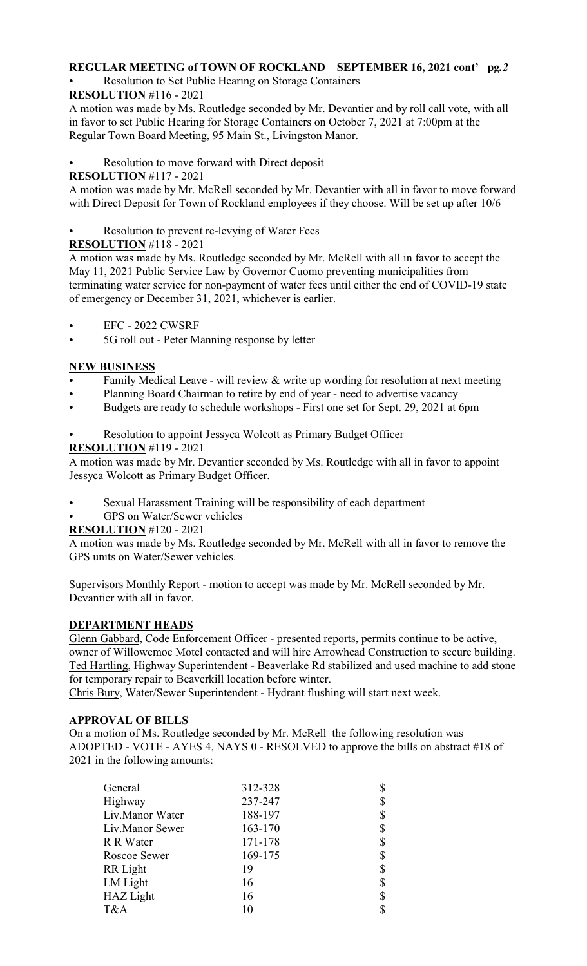## **REGULAR MEETING of TOWN OF ROCKLAND SEPTEMBER 16, 2021 cont' pg***.2*

Resolution to Set Public Hearing on Storage Containers

## **RESOLUTION** #116 - 2021

A motion was made by Ms. Routledge seconded by Mr. Devantier and by roll call vote, with all in favor to set Public Hearing for Storage Containers on October 7, 2021 at 7:00pm at the Regular Town Board Meeting, 95 Main St., Livingston Manor.

Resolution to move forward with Direct deposit

## **RESOLUTION** #117 - 2021

A motion was made by Mr. McRell seconded by Mr. Devantier with all in favor to move forward with Direct Deposit for Town of Rockland employees if they choose. Will be set up after 10/6

Resolution to prevent re-levying of Water Fees

## **RESOLUTION** #118 - 2021

A motion was made by Ms. Routledge seconded by Mr. McRell with all in favor to accept the May 11, 2021 Public Service Law by Governor Cuomo preventing municipalities from terminating water service for non-payment of water fees until either the end of COVID-19 state of emergency or December 31, 2021, whichever is earlier.

- EFC 2022 CWSRF
- 5G roll out Peter Manning response by letter

## **NEW BUSINESS**

- Family Medical Leave will review  $&$  write up wording for resolution at next meeting
- Planning Board Chairman to retire by end of year need to advertise vacancy
- C Budgets are ready to schedule workshops First one set for Sept. 29, 2021 at 6pm
- Resolution to appoint Jessyca Wolcott as Primary Budget Officer

# **RESOLUTION** #119 - 2021

A motion was made by Mr. Devantier seconded by Ms. Routledge with all in favor to appoint Jessyca Wolcott as Primary Budget Officer.

- Sexual Harassment Training will be responsibility of each department
- GPS on Water/Sewer vehicles

### **RESOLUTION** #120 - 2021

A motion was made by Ms. Routledge seconded by Mr. McRell with all in favor to remove the GPS units on Water/Sewer vehicles.

Supervisors Monthly Report - motion to accept was made by Mr. McRell seconded by Mr. Devantier with all in favor.

### **DEPARTMENT HEADS**

Glenn Gabbard, Code Enforcement Officer - presented reports, permits continue to be active, owner of Willowemoc Motel contacted and will hire Arrowhead Construction to secure building. Ted Hartling, Highway Superintendent - Beaverlake Rd stabilized and used machine to add stone for temporary repair to Beaverkill location before winter.

Chris Bury, Water/Sewer Superintendent - Hydrant flushing will start next week.

### **APPROVAL OF BILLS**

On a motion of Ms. Routledge seconded by Mr. McRell the following resolution was ADOPTED - VOTE - AYES 4, NAYS 0 - RESOLVED to approve the bills on abstract #18 of 2021 in the following amounts:

| General          | 312-328 | \$ |
|------------------|---------|----|
| Highway          | 237-247 | \$ |
| Liv.Manor Water  | 188-197 | \$ |
| Liv.Manor Sewer  | 163-170 | \$ |
| R R Water        | 171-178 | \$ |
| Roscoe Sewer     | 169-175 | \$ |
| RR Light         | 19      | \$ |
| LM Light         | 16      | \$ |
| <b>HAZ</b> Light | 16      | \$ |
| T&A              | 10      | \$ |
|                  |         |    |